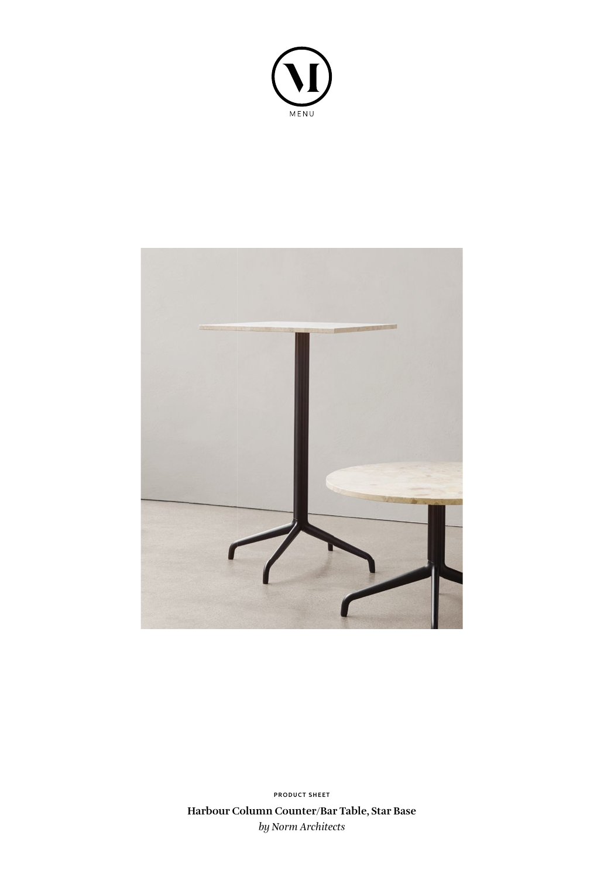



**Harbour Column Counter/Bar Table, Star Base** *by Norm Architects* **PRODUCT SHEET**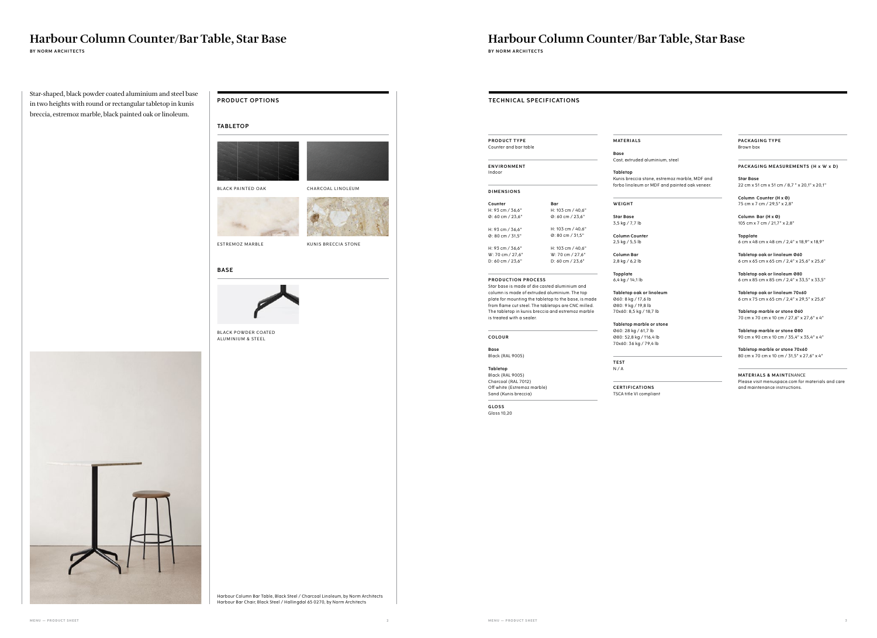## **Harbour Column Counter/Bar Table, Star Base**

## **PRODUCT OPTIONS**

Star-shaped, black powder coated aluminium and steel base in two heights with round or rectangular tabletop in kunis breccia, estremoz marble, black painted oak or linoleum.

**BY NORM ARCHITECTS** BY NORM ARCHITECTS **BY NORM ARCHITECTS** 

**Harbour Column Counter/Bar Table, Star Base**

**TECHNICAL SPECIFICATIONS** 

column is made of extruded aluminium. The top plate for mounting the tabletop to the base, is made from flame cut steel. The tabletops are CNC milled. The tabletop in kunis breccia and estremoz marble is treated with a sealer.

**COLOUR**

#### **Base**  Black (RAL 9005)

**Tabletop** Black (RAL 9005) Charcoal (RAL 7012) Off white (Estremoz marble)

Sand (Kunis breccia)

**GLOSS** Gloss 10,20

#### **M AT E R I A LS**

**Base**

Cast, extruded aluminium, steel

**Tabletop**

Kunis breccia stone, estremoz marble, MDF and forbo linoleum or MDF and painted oak veneer.

**W E I G H T** 

**MATERIALS & MAINTENANCE** Please visit menuspace.com for materials and care and maintenance instructions.

**Star Base** 3,5 kg / 7,7 lb

**Column Counter** 2,5 kg / 5,5 lb

**Column Bar** 2,8 kg / 6,2 lb

**Topplate** 6,4 kg / 14,1 lb

**Tabletop oak or linoleum** Ø60: 8 kg / 17,6 lb Ø80: 9 kg / 19,8 lb 70x60: 8,5 kg / 18,7 lb

**Tabletop marble or stone** Ø60: 28 kg / 61,7 lb Ø80: 52,8 kg / 116,4 lb 70x60: 36 kg / 79,4 lb

**TEST** N / A

| <b>PRODUCT TYPE</b><br>Counter and bar table |                            |  |
|----------------------------------------------|----------------------------|--|
| <b>ENVIRONMENT</b><br>Indoor                 |                            |  |
| <b>DIMENSIONS</b>                            |                            |  |
| Counter                                      | Bar                        |  |
| H: 93 cm / 36.6"                             | H: 103 cm / 40.6"          |  |
| 0:60 cm / 23,6"                              | $Q: 60 \text{ cm} / 23.6"$ |  |
| H: 93 cm / 36.6"                             | H: 103 cm / 40,6"          |  |
| 0:80 cm / 31,5"                              | 0:80 cm / 31,5"            |  |
| H: 93 cm / 36.6"                             | H: 103 cm / 40,6"          |  |
| W: 70 cm / 27.6"                             | W: 70 cm / 27.6"           |  |
| D: 60 cm / 23,6"                             | D: 60 cm / 23,6"           |  |

**C E RT I F I CAT I O N S** TSCA title VI compliant **PACKAGING TYPE** Brown box

#### **PACKAGING MEASUREMENTS (H x W x D)**

**Star Base** 22 cm x 51 cm x 51 cm / 8,7 " x 20,1" x 20,1"

**Column Counter (H x Ø)** 75 cm x 7 cm / 29,5" x 2,8"

**Column Bar (H x Ø)** 105 cm x 7 cm / 21,7" x 2,8"

**Topplate** 6 cm x 48 cm x 48 cm / 2,4" x 18,9" x 18,9"

**Tabletop oak or linoleum Ø60** 6 cm x 65 cm x 65 cm / 2,4" x 25,6" x 25,6"

**Tabletop oak or linoleum Ø80** 6 cm x 85 cm x 85 cm / 2,4" x 33,5" x 33,5"

**Tabletop oak or linoleum 70x60** 6 cm x 75 cm x 65 cm / 2,4" x 29,5" x 25,6"

**Tabletop marble or stone Ø60** 70 cm x 70 cm x 10 cm / 27,6" x 27,6" x 4"

**Tabletop marble or stone Ø80**  90 cm x 90 cm x 10 cm / 35,4" x 35,4" x 4"

**Tabletop marble or stone 70x60** 80 cm x 70 cm x 10 cm / 31,5" x 27,6" x 4"

#### **TABLETOP**







| <b>TABLETOP</b>                                 |
|-------------------------------------------------|
|                                                 |
| <b>BLACK PAINTED OAI</b>                        |
|                                                 |
|                                                 |
| ESTREMOZ MARBLE                                 |
| <b>BASE</b>                                     |
|                                                 |
| <b>BLACK POWDER CO</b><br>ALUMINIUM & STEEI     |
|                                                 |
|                                                 |
|                                                 |
|                                                 |
|                                                 |
|                                                 |
|                                                 |
|                                                 |
|                                                 |
|                                                 |
|                                                 |
|                                                 |
| Harbour Column Bar To<br>Harbour Bar Chair, Bla |

### **BAS E**



**BLACK POWDER COATED** ALUMINIUM & STEEL

Harbour Column Bar Table, Black Steel / Charcoal Linoleum, by Norm Architects Harbour Bar Chair, Black Steel / Hallingdal 65 0270, by Norm Architects

KUNIS BRECCIA STONE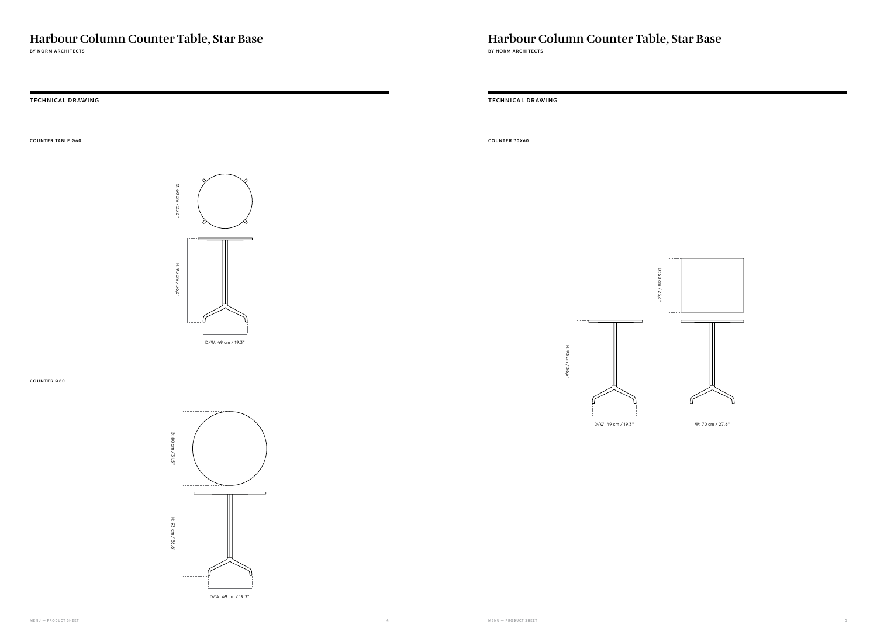**MENU — PRODUCT SHEET 4 MENU — PRODUCT SHEET 5**

**TECHNICAL DRAWING TECHNICAL DRAWING**

**C O U N T E R TA B L E Ø 6 0**

**BY NORM ARCHITECTS** 

#### **COUNTER Ø80**

**COUNTER 70X60**







H: 93 cm / 36,6"